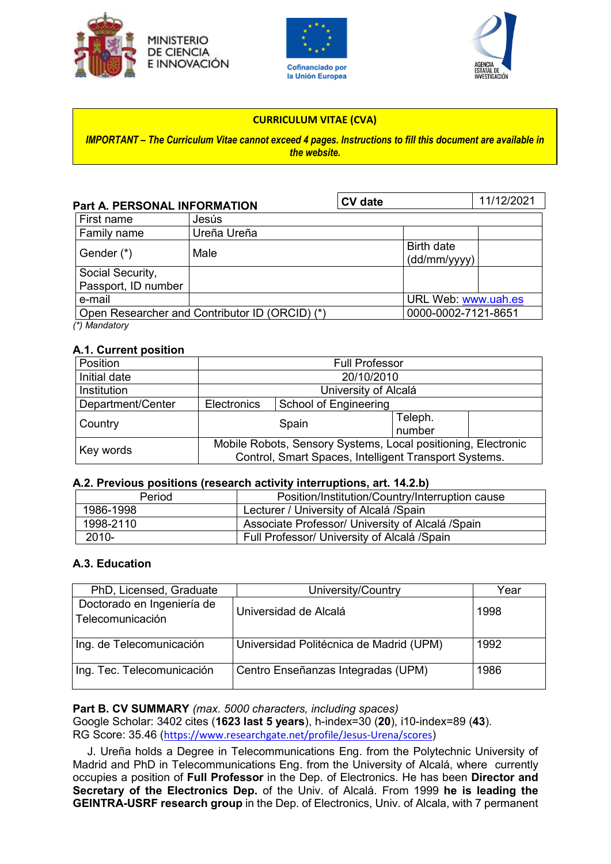





### **CURRICULUM VITAE (CVA)**

*IMPORTANT – The Curriculum Vitae cannot exceed 4 pages. Instructions to fill this document are available in the website.*

| <b>Part A. PERSONAL INFORMATION</b>     |                                                | <b>CV</b> date |                            | 11/12/2021 |
|-----------------------------------------|------------------------------------------------|----------------|----------------------------|------------|
| First name                              | Jesús                                          |                |                            |            |
| Family name                             | Ureña Ureña                                    |                |                            |            |
| Gender (*)                              | Male                                           |                | Birth date<br>(dd/mm/yyyy) |            |
| Social Security,<br>Passport, ID number |                                                |                |                            |            |
| e-mail                                  |                                                |                | URL Web: www.uah.es        |            |
|                                         | Open Researcher and Contributor ID (ORCID) (*) |                | 0000-0002-7121-8651        |            |
| (*) Mandatory                           |                                                |                |                            |            |

#### **A.1. Current position**

| Position          | <b>Full Professor</b>                                                                                                  |                       |                   |  |
|-------------------|------------------------------------------------------------------------------------------------------------------------|-----------------------|-------------------|--|
| Initial date      | 20/10/2010                                                                                                             |                       |                   |  |
| Institution       | University of Alcalá                                                                                                   |                       |                   |  |
| Department/Center | Electronics                                                                                                            | School of Engineering |                   |  |
| Country           |                                                                                                                        | Spain                 | Teleph.<br>number |  |
| Key words         | Mobile Robots, Sensory Systems, Local positioning, Electronic<br>Control, Smart Spaces, Intelligent Transport Systems. |                       |                   |  |

#### **A.2. Previous positions (research activity interruptions, art. 14.2.b)**

| Period    | Position/Institution/Country/Interruption cause  |  |
|-----------|--------------------------------------------------|--|
| 1986-1998 | Lecturer / University of Alcalá / Spain          |  |
| 1998-2110 | Associate Professor/ University of Alcalá /Spain |  |
| 2010-     | Full Professor/ University of Alcalá /Spain      |  |

### **A.3. Education**

| PhD, Licensed, Graduate                        | University/Country                      | Year |
|------------------------------------------------|-----------------------------------------|------|
| Doctorado en Ingeniería de<br>Telecomunicación | Universidad de Alcalá                   | 1998 |
| Ing. de Telecomunicación                       | Universidad Politécnica de Madrid (UPM) | 1992 |
| Ing. Tec. Telecomunicación                     | Centro Enseñanzas Integradas (UPM)      | 1986 |

### **Part B. CV SUMMARY** *(max. 5000 characters, including spaces)*

Google Scholar: 3402 cites (**1623 last 5 years**), h-index=30 (**20**), i10-index=89 (**43**). RG Score: 35.46 (<https://www.researchgate.net/profile/Jesus-Urena/scores>)

J. Ureña holds a Degree in Telecommunications Eng. from the Polytechnic University of Madrid and PhD in Telecommunications Eng. from the University of Alcalá, where currently occupies a position of **Full Professor** in the Dep. of Electronics. He has been **Director and Secretary of the Electronics Dep.** of the Univ. of Alcalá. From 1999 **he is leading the GEINTRA-USRF research group** in the Dep. of Electronics, Univ. of Alcala, with 7 permanent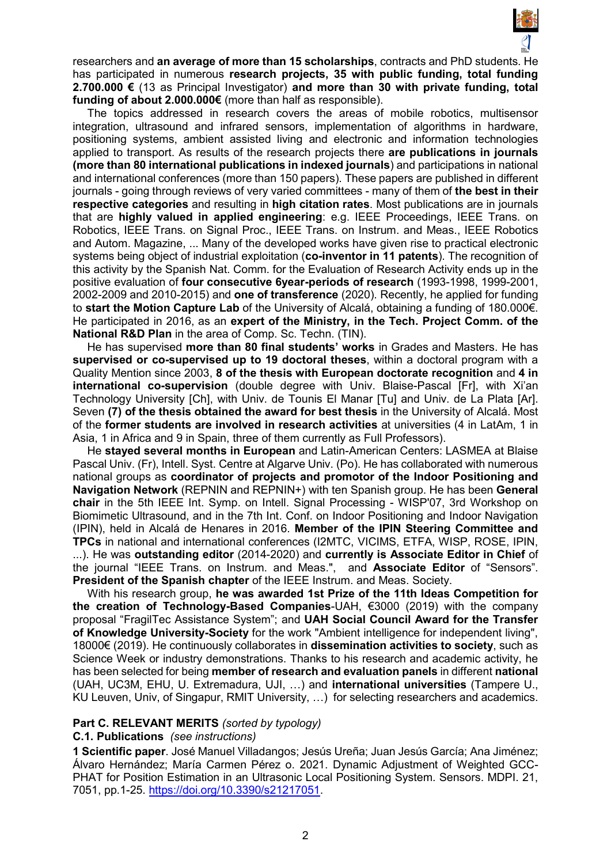

researchers and **an average of more than 15 scholarships**, contracts and PhD students. He has participated in numerous **research projects, 35 with public funding, total funding 2.700.000 €** (13 as Principal Investigator) **and more than 30 with private funding, total funding of about 2.000.000€** (more than half as responsible).

The topics addressed in research covers the areas of mobile robotics, multisensor integration, ultrasound and infrared sensors, implementation of algorithms in hardware, positioning systems, ambient assisted living and electronic and information technologies applied to transport. As results of the research projects there **are publications in journals (more than 80 international publications in indexed journals**) and participations in national and international conferences (more than 150 papers). These papers are published in different journals - going through reviews of very varied committees - many of them of **the best in their respective categories** and resulting in **high citation rates**. Most publications are in journals that are **highly valued in applied engineering**: e.g. IEEE Proceedings, IEEE Trans. on Robotics, IEEE Trans. on Signal Proc., IEEE Trans. on Instrum. and Meas., IEEE Robotics and Autom. Magazine, ... Many of the developed works have given rise to practical electronic systems being object of industrial exploitation (**co-inventor in 11 patents**). The recognition of this activity by the Spanish Nat. Comm. for the Evaluation of Research Activity ends up in the positive evaluation of **four consecutive 6year-periods of research** (1993-1998, 1999-2001, 2002-2009 and 2010-2015) and **one of transference** (2020). Recently, he applied for funding to **start the Motion Capture Lab** of the University of Alcalá, obtaining a funding of 180.000€. He participated in 2016, as an **expert of the Ministry, in the Tech. Project Comm. of the National R&D Plan** in the area of Comp. Sc. Techn. (TIN).

He has supervised **more than 80 final students' works** in Grades and Masters. He has **supervised or co-supervised up to 19 doctoral theses**, within a doctoral program with a Quality Mention since 2003, **8 of the thesis with European doctorate recognition** and **4 in international co-supervision** (double degree with Univ. Blaise-Pascal [Fr], with Xi'an Technology University [Ch], with Univ. de Tounis El Manar [Tu] and Univ. de La Plata [Ar]. Seven **(7) of the thesis obtained the award for best thesis** in the University of Alcalá. Most of the **former students are involved in research activities** at universities (4 in LatAm, 1 in Asia, 1 in Africa and 9 in Spain, three of them currently as Full Professors).

He **stayed several months in European** and Latin-American Centers: LASMEA at Blaise Pascal Univ. (Fr), Intell. Syst. Centre at Algarve Univ. (Po). He has collaborated with numerous national groups as **coordinator of projects and promotor of the Indoor Positioning and Navigation Network** (REPNIN and REPNIN+) with ten Spanish group. He has been **General chair** in the 5th IEEE Int. Symp. on Intell. Signal Processing - WISP'07, 3rd Workshop on Biomimetic Ultrasound, and in the 7th Int. Conf. on Indoor Positioning and Indoor Navigation (IPIN), held in Alcalá de Henares in 2016. **Member of the IPIN Steering Committee and TPCs** in national and international conferences (I2MTC, VICIMS, ETFA, WISP, ROSE, IPIN, ...). He was **outstanding editor** (2014-2020) and **currently is Associate Editor in Chief** of the journal "IEEE Trans. on Instrum. and Meas.", and **Associate Editor** of "Sensors". **President of the Spanish chapter** of the IEEE Instrum. and Meas. Society.

With his research group, **he was awarded 1st Prize of the 11th Ideas Competition for the creation of Technology-Based Companies**-UAH, €3000 (2019) with the company proposal "FragilTec Assistance System"; and **UAH Social Council Award for the Transfer of Knowledge University-Society** for the work "Ambient intelligence for independent living", 18000€ (2019). He continuously collaborates in **dissemination activities to society**, such as Science Week or industry demonstrations. Thanks to his research and academic activity, he has been selected for being **member of research and evaluation panels** in different **national** (UAH, UC3M, EHU, U. Extremadura, UJI, …) and **international universities** (Tampere U., KU Leuven, Univ, of Singapur, RMIT University, …) for selecting researchers and academics.

#### **Part C. RELEVANT MERITS** *(sorted by typology)*

#### **C.1. Publications** *(see instructions)*

**1 Scientific paper**. José Manuel Villadangos; Jesús Ureña; Juan Jesús García; Ana Jiménez; Álvaro Hernández; María Carmen Pérez o. 2021. Dynamic Adjustment of Weighted GCC-PHAT for Position Estimation in an Ultrasonic Local Positioning System. Sensors. MDPI. 21, 7051, pp.1-25. [https://doi.org/10.3390/s21217051.](https://doi.org/10.3390/s21217051)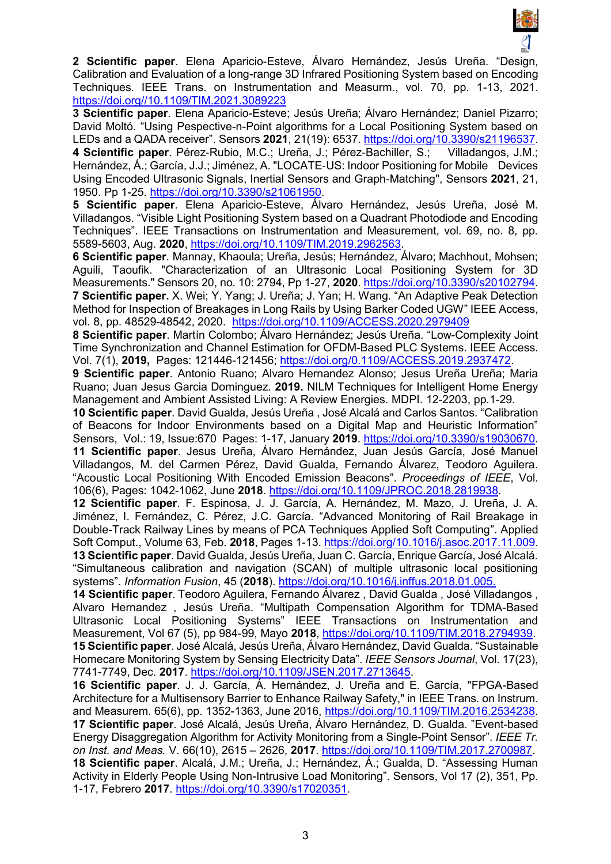

**2 Scientific paper**. Elena Aparicio-Esteve, Álvaro Hernández, Jesús Ureña. "Design, Calibration and Evaluation of a long-range 3D Infrared Positioning System based on Encoding Techniques. IEEE Trans. on Instrumentation and Measurm., vol. 70, pp. 1-13, 2021. [https://doi.org//10.1109/TIM.2021.3089223](https://doi.org/10.1109/TIM.2021.3089223)

**3 Scientific paper**. Elena Aparicio-Esteve; Jesús Ureña; Álvaro Hernández; Daniel Pizarro; David Moltó. "Using Pespective-n-Point algorithms for a Local Positioning System based on LEDs and a QADA receiver". Sensors **2021**, 21(19): 6537. [https://doi.org/10.3390/s21196537.](https://doi.org/10.3390/s21196537)

**4 Scientific paper**. Pérez‐Rubio, M.C.; Ureña, J.; Pérez‐Bachiller, S.; Villadangos, J.M.; Hernández, Á.; García, J.J.; Jiménez, A. "LOCATE-US: Indoor Positioning for Mobile Devices Using Encoded Ultrasonic Signals, Inertial Sensors and Graph‐Matching", Sensors **2021**, 21, 1950. Pp 1-25. [https://doi.org/10.3390/s21061950.](https://doi.org/10.3390/s21061950)

**5 Scientific paper**. Elena Aparicio-Esteve, Álvaro Hernández, Jesús Ureña, José M. Villadangos. "Visible Light Positioning System based on a Quadrant Photodiode and Encoding Techniques". IEEE Transactions on Instrumentation and Measurement, vol. 69, no. 8, pp. 5589-5603, Aug. **2020**, [https://doi.org/10.1109/TIM.2019.2962563.](https://doi.org/10.1109/TIM.2019.2962563)

**6 Scientific paper**. Mannay, Khaoula; Ureña, Jesús; Hernández, Álvaro; Machhout, Mohsen; Aguili, Taoufik. "Characterization of an Ultrasonic Local Positioning System for 3D Measurements." Sensors 20, no. 10: 2794, Pp 1-27, **2020**. [https://doi.org/10.3390/s20102794.](https://doi.org/10.3390/s20102794) **7 Scientific paper.** X. Wei; Y. Yang; J. Ureña; J. Yan; H. Wang. "An Adaptive Peak Detection Method for Inspection of Breakages in Long Rails by Using Barker Coded UGW" IEEE Access, vol. 8, pp. 48529-48542, 2020. <https://doi.org/10.1109/ACCESS.2020.2979409>

**8 Scientific paper**. Martín Colombo; Álvaro Hernández; Jesús Ureña. "Low-Complexity Joint Time Synchronization and Channel Estimation for OFDM-Based PLC Systems. IEEE Access. Vol. 7(1), **2019,** Pages: 121446-121456; [https://doi.org/0.1109/ACCESS.2019.2937472.](https://doi.org/0.1109/ACCESS.2019.2937472)

**9 Scientific paper**. Antonio Ruano; Alvaro Hernandez Alonso; Jesus Ureña Ureña; Maria Ruano; Juan Jesus Garcia Dominguez. **2019.** NILM Techniques for Intelligent Home Energy Management and Ambient Assisted Living: A Review Energies. MDPI. 12-2203, pp.1-29.

**10 Scientific paper**. David Gualda, Jesús Ureña , José Alcalá and Carlos Santos. "Calibration of Beacons for Indoor Environments based on a Digital Map and Heuristic Information" Sensors, Vol.: 19, Issue:670 Pages: 1-17, January **2019**. [https://doi.org/10.3390/s19030670.](https://doi.org/10.3390/s19030670) **11 Scientific paper**. Jesus Ureña, Álvaro Hernández, Juan Jesús García, José Manuel Villadangos, M. del Carmen Pérez, David Gualda, Fernando Álvarez, Teodoro Aguilera. "Acoustic Local Positioning With Encoded Emission Beacons". *Proceedings of IEEE*, Vol. 106(6), Pages: 1042-1062, June **2018**. [https://doi.org/10.1109/JPROC.2018.2819938.](https://doi.org/10.1109/JPROC.2018.2819938)

**12 Scientific paper**. F. Espinosa, J. J. García, A. Hernández, M. Mazo, J. Ureña, J. A. Jiménez, I. Fernández, C. Pérez, J.C. García. "Advanced Monitoring of Rail Breakage in Double-Track Railway Lines by means of PCA Techniques Applied Soft Computing". Applied Soft Comput., Volume 63, Feb. **2018**, Pages 1-13. [https://doi.org/10.1016/j.asoc.2017.11.009.](https://doi.org/10.1016/j.asoc.2017.11.009) **13 Scientific paper**. David Gualda, Jesús Ureña, Juan C. García, Enrique García, José Alcalá. "Simultaneous calibration and navigation (SCAN) of multiple ultrasonic local positioning systems". *Information Fusion*, 45 (**2018**). [https://doi.org/10.1016/j.inffus.2018.01.005.](https://doi.org/10.1016/j.inffus.2018.01.005)

**14 Scientific paper**. Teodoro Aguilera, Fernando Álvarez , David Gualda , José Villadangos , Alvaro Hernandez , Jesús Ureña. "Multipath Compensation Algorithm for TDMA-Based Ultrasonic Local Positioning Systems" IEEE Transactions on Instrumentation and Measurement, Vol 67 (5), pp 984-99, Mayo **2018**, [https://doi.org/10.1109/TIM.2018.2794939.](https://doi.org/10.1109/TIM.2018.2794939) **15 Scientific paper**. José Alcalá, Jesús Ureña, Álvaro Hernández, David Gualda. "Sustainable Homecare Monitoring System by Sensing Electricity Data". *IEEE Sensors Journal*, Vol. 17(23), 7741-7749, Dec. **2017**. [https://doi.org/10.1109/JSEN.2017.2713645.](https://doi.org/10.1109/JSEN.2017.2713645)

**16 Scientific paper**. J. J. García, Á. Hernández, J. Ureña and E. García, "FPGA-Based Architecture for a Multisensory Barrier to Enhance Railway Safety," in IEEE Trans. on Instrum. and Measurem. 65(6), pp. 1352-1363, June 2016, [https://doi.org/10.1109/TIM.2016.2534238.](https://doi.org/10.1109/TIM.2016.2534238) **17 Scientific paper**. José Alcalá, Jesús Ureña, Álvaro Hernández, D. Gualda. "Event-based Energy Disaggregation Algorithm for Activity Monitoring from a Single-Point Sensor". *IEEE Tr. on Inst. and Meas.* V. 66(10), 2615 – 2626, **2017**. [https://doi.org/10.1109/TIM.2017.2700987.](https://doi.org/10.1109/TIM.2017.2700987) **18 Scientific paper**. Alcalá, J.M.; Ureña, J.; Hernández, Á.; Gualda, D. "Assessing Human Activity in Elderly People Using Non-Intrusive Load Monitoring". Sensors, Vol 17 (2), 351, Pp. 1-17, Febrero **2017**. [https://doi.org/10.3390/s17020351.](https://doi.org/10.3390/s17020351)